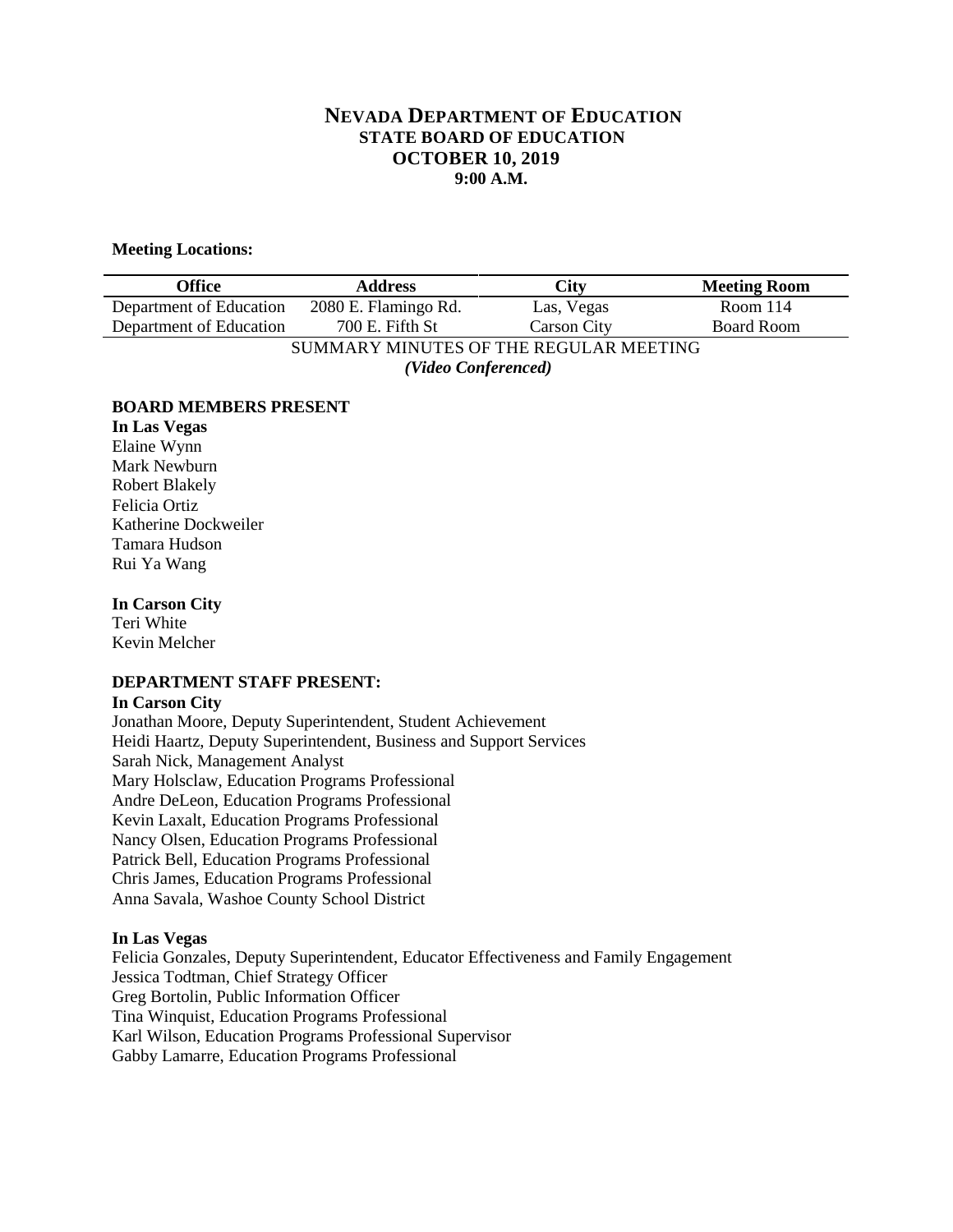# **NEVADA DEPARTMENT OF EDUCATION STATE BOARD OF EDUCATION OCTOBER 10, 2019 9:00 A.M.**

### **Meeting Locations:**

| Office                  | <b>Address</b>                         | City               | <b>Meeting Room</b> |
|-------------------------|----------------------------------------|--------------------|---------------------|
| Department of Education | 2080 E. Flamingo Rd.                   | Las, Vegas         | Room $114$          |
| Department of Education | 700 E. Fifth St                        | <b>Carson City</b> | <b>Board Room</b>   |
|                         | SUMMARY MINUTES OF THE REGULAR MEETING |                    |                     |
|                         | (Video Conferenced)                    |                    |                     |

#### **BOARD MEMBERS PRESENT**

**In Las Vegas** Elaine Wynn Mark Newburn Robert Blakely Felicia Ortiz Katherine Dockweiler Tamara Hudson Rui Ya Wang

#### **In Carson City**

Teri White Kevin Melcher

#### **DEPARTMENT STAFF PRESENT:**

#### **In Carson City**

Jonathan Moore, Deputy Superintendent, Student Achievement Heidi Haartz, Deputy Superintendent, Business and Support Services Sarah Nick, Management Analyst Mary Holsclaw, Education Programs Professional Andre DeLeon, Education Programs Professional Kevin Laxalt, Education Programs Professional Nancy Olsen, Education Programs Professional Patrick Bell, Education Programs Professional Chris James, Education Programs Professional Anna Savala, Washoe County School District

#### **In Las Vegas**

Felicia Gonzales, Deputy Superintendent, Educator Effectiveness and Family Engagement Jessica Todtman, Chief Strategy Officer Greg Bortolin, Public Information Officer Tina Winquist, Education Programs Professional Karl Wilson, Education Programs Professional Supervisor Gabby Lamarre, Education Programs Professional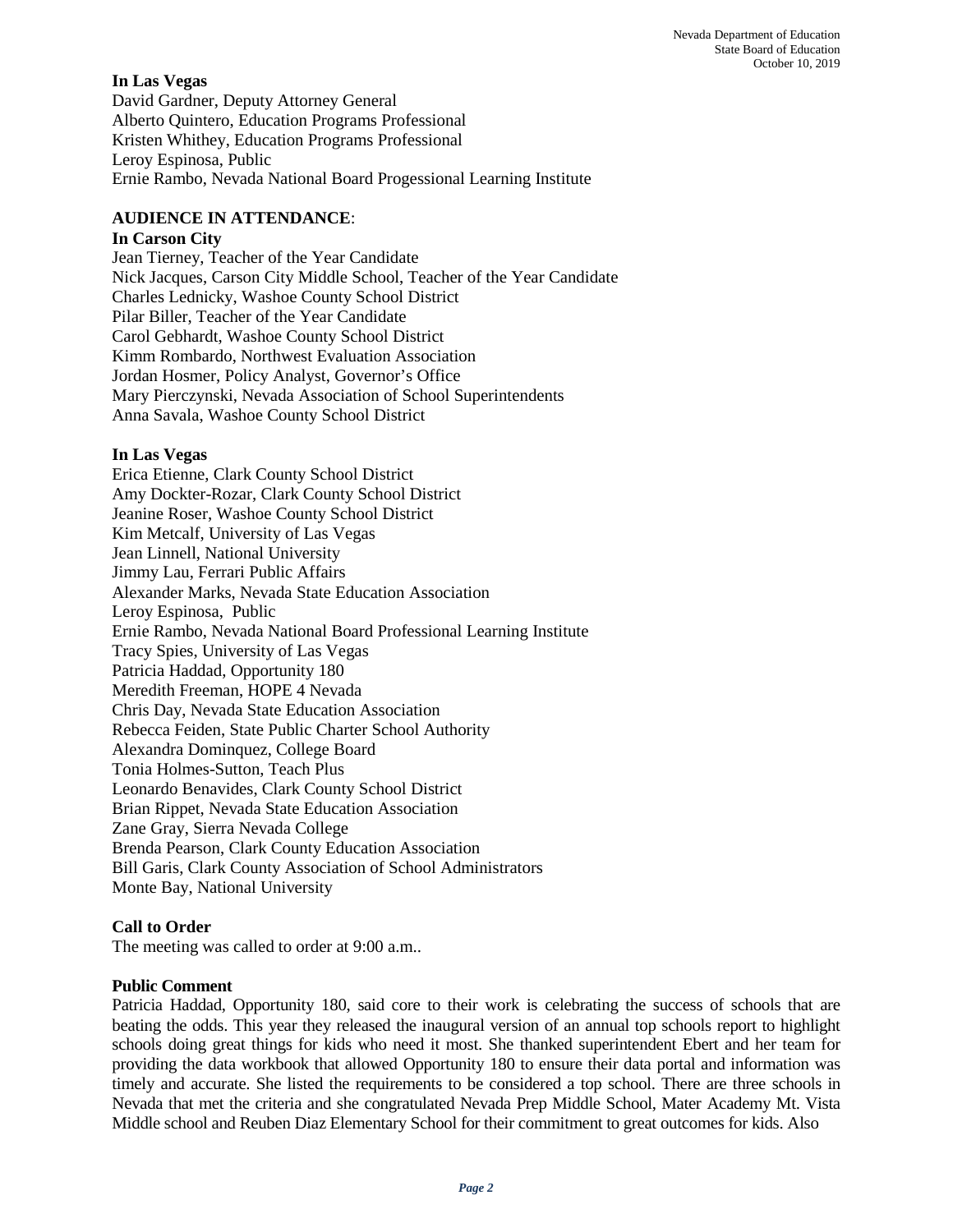# **In Las Vegas**

David Gardner, Deputy Attorney General Alberto Quintero, Education Programs Professional Kristen Whithey, Education Programs Professional Leroy Espinosa, Public Ernie Rambo, Nevada National Board Progessional Learning Institute

# **AUDIENCE IN ATTENDANCE**:

# **In Carson City**

Jean Tierney, Teacher of the Year Candidate Nick Jacques, Carson City Middle School, Teacher of the Year Candidate Charles Lednicky, Washoe County School District Pilar Biller, Teacher of the Year Candidate Carol Gebhardt, Washoe County School District Kimm Rombardo, Northwest Evaluation Association Jordan Hosmer, Policy Analyst, Governor's Office Mary Pierczynski, Nevada Association of School Superintendents Anna Savala, Washoe County School District

# **In Las Vegas**

Erica Etienne, Clark County School District Amy Dockter-Rozar, Clark County School District Jeanine Roser, Washoe County School District Kim Metcalf, University of Las Vegas Jean Linnell, National University Jimmy Lau, Ferrari Public Affairs Alexander Marks, Nevada State Education Association Leroy Espinosa, Public Ernie Rambo, Nevada National Board Professional Learning Institute Tracy Spies, University of Las Vegas Patricia Haddad, Opportunity 180 Meredith Freeman, HOPE 4 Nevada Chris Day, Nevada State Education Association Rebecca Feiden, State Public Charter School Authority Alexandra Dominquez, College Board Tonia Holmes-Sutton, Teach Plus Leonardo Benavides, Clark County School District Brian Rippet, Nevada State Education Association Zane Gray, Sierra Nevada College Brenda Pearson, Clark County Education Association Bill Garis, Clark County Association of School Administrators Monte Bay, National University

# **Call to Order**

The meeting was called to order at 9:00 a.m..

### **Public Comment**

Patricia Haddad, Opportunity 180, said core to their work is celebrating the success of schools that are beating the odds. This year they released the inaugural version of an annual top schools report to highlight schools doing great things for kids who need it most. She thanked superintendent Ebert and her team for providing the data workbook that allowed Opportunity 180 to ensure their data portal and information was timely and accurate. She listed the requirements to be considered a top school. There are three schools in Nevada that met the criteria and she congratulated Nevada Prep Middle School, Mater Academy Mt. Vista Middle school and Reuben Diaz Elementary School for their commitment to great outcomes for kids. Also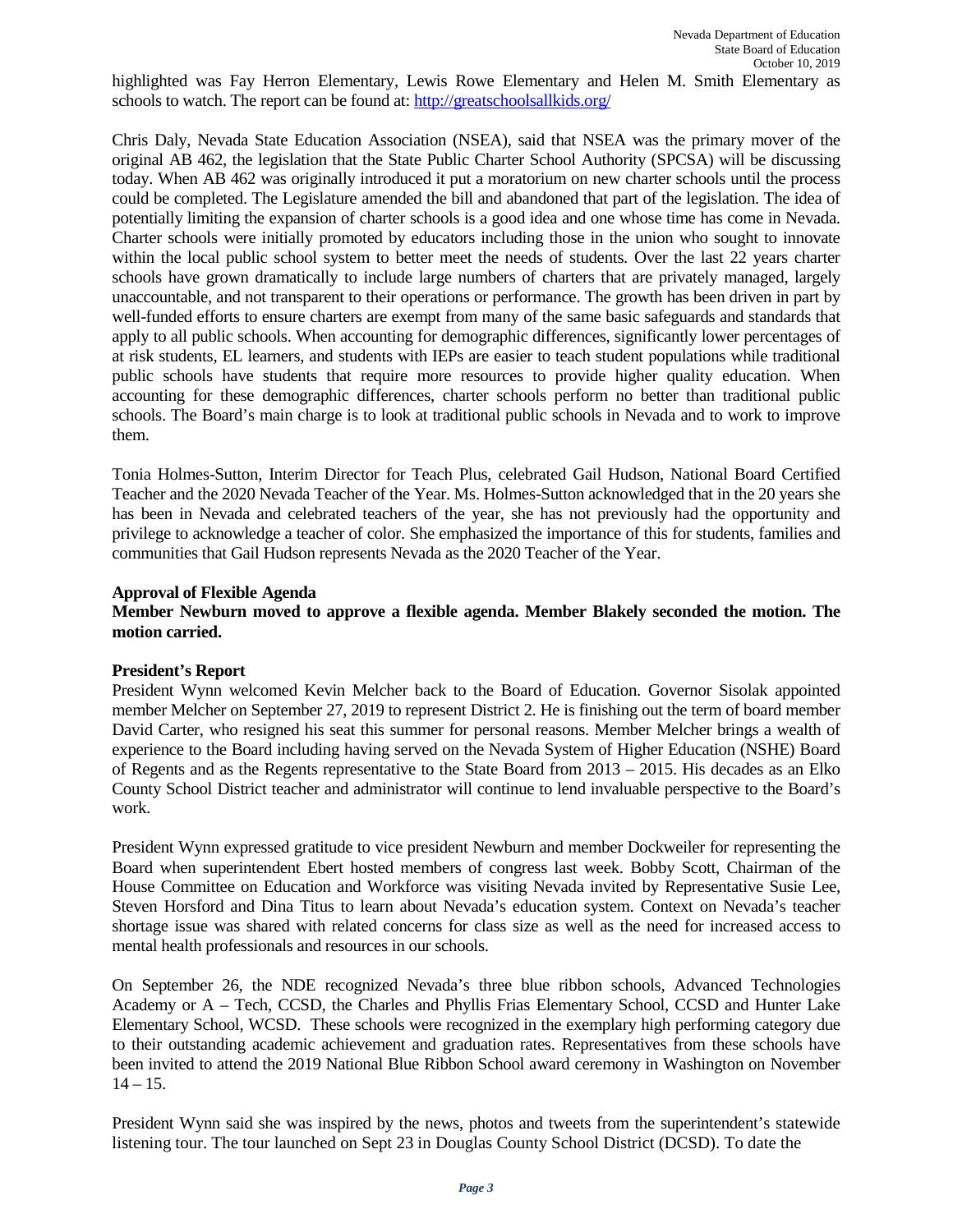highlighted was Fay Herron Elementary, Lewis Rowe Elementary and Helen M. Smith Elementary as schools to watch. The report can be found at:<http://greatschoolsallkids.org/>

Chris Daly, Nevada State Education Association (NSEA), said that NSEA was the primary mover of the original AB 462, the legislation that the State Public Charter School Authority (SPCSA) will be discussing today. When AB 462 was originally introduced it put a moratorium on new charter schools until the process could be completed. The Legislature amended the bill and abandoned that part of the legislation. The idea of potentially limiting the expansion of charter schools is a good idea and one whose time has come in Nevada. Charter schools were initially promoted by educators including those in the union who sought to innovate within the local public school system to better meet the needs of students. Over the last 22 years charter schools have grown dramatically to include large numbers of charters that are privately managed, largely unaccountable, and not transparent to their operations or performance. The growth has been driven in part by well-funded efforts to ensure charters are exempt from many of the same basic safeguards and standards that apply to all public schools. When accounting for demographic differences, significantly lower percentages of at risk students, EL learners, and students with IEPs are easier to teach student populations while traditional public schools have students that require more resources to provide higher quality education. When accounting for these demographic differences, charter schools perform no better than traditional public schools. The Board's main charge is to look at traditional public schools in Nevada and to work to improve them.

Tonia Holmes-Sutton, Interim Director for Teach Plus, celebrated Gail Hudson, National Board Certified Teacher and the 2020 Nevada Teacher of the Year. Ms. Holmes-Sutton acknowledged that in the 20 years she has been in Nevada and celebrated teachers of the year, she has not previously had the opportunity and privilege to acknowledge a teacher of color. She emphasized the importance of this for students, families and communities that Gail Hudson represents Nevada as the 2020 Teacher of the Year.

#### **Approval of Flexible Agenda**

### **Member Newburn moved to approve a flexible agenda. Member Blakely seconded the motion. The motion carried.**

#### **President's Report**

President Wynn welcomed Kevin Melcher back to the Board of Education. Governor Sisolak appointed member Melcher on September 27, 2019 to represent District 2. He is finishing out the term of board member David Carter, who resigned his seat this summer for personal reasons. Member Melcher brings a wealth of experience to the Board including having served on the Nevada System of Higher Education (NSHE) Board of Regents and as the Regents representative to the State Board from 2013 – 2015. His decades as an Elko County School District teacher and administrator will continue to lend invaluable perspective to the Board's work.

President Wynn expressed gratitude to vice president Newburn and member Dockweiler for representing the Board when superintendent Ebert hosted members of congress last week. Bobby Scott, Chairman of the House Committee on Education and Workforce was visiting Nevada invited by Representative Susie Lee, Steven Horsford and Dina Titus to learn about Nevada's education system. Context on Nevada's teacher shortage issue was shared with related concerns for class size as well as the need for increased access to mental health professionals and resources in our schools.

On September 26, the NDE recognized Nevada's three blue ribbon schools, Advanced Technologies Academy or A – Tech, CCSD, the Charles and Phyllis Frias Elementary School, CCSD and Hunter Lake Elementary School, WCSD. These schools were recognized in the exemplary high performing category due to their outstanding academic achievement and graduation rates. Representatives from these schools have been invited to attend the 2019 National Blue Ribbon School award ceremony in Washington on November  $14 - 15.$ 

President Wynn said she was inspired by the news, photos and tweets from the superintendent's statewide listening tour. The tour launched on Sept 23 in Douglas County School District (DCSD). To date the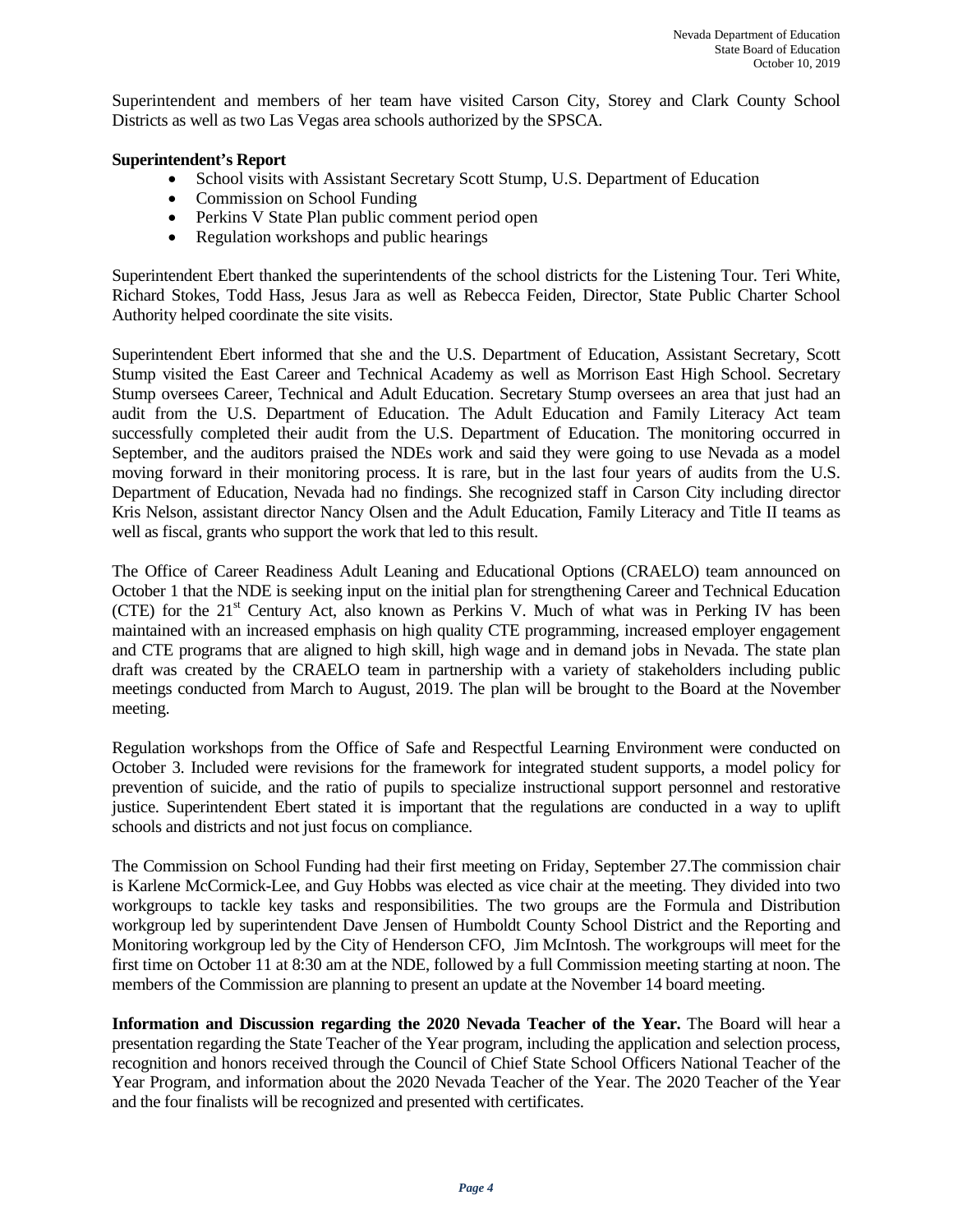Superintendent and members of her team have visited Carson City, Storey and Clark County School Districts as well as two Las Vegas area schools authorized by the SPSCA.

### **Superintendent's Report**

- School visits with Assistant Secretary Scott Stump, U.S. Department of Education
- Commission on School Funding
- Perkins V State Plan public comment period open
- Regulation workshops and public hearings

Superintendent Ebert thanked the superintendents of the school districts for the Listening Tour. Teri White, Richard Stokes, Todd Hass, Jesus Jara as well as Rebecca Feiden, Director, State Public Charter School Authority helped coordinate the site visits.

Superintendent Ebert informed that she and the U.S. Department of Education, Assistant Secretary, Scott Stump visited the East Career and Technical Academy as well as Morrison East High School. Secretary Stump oversees Career, Technical and Adult Education. Secretary Stump oversees an area that just had an audit from the U.S. Department of Education. The Adult Education and Family Literacy Act team successfully completed their audit from the U.S. Department of Education. The monitoring occurred in September, and the auditors praised the NDEs work and said they were going to use Nevada as a model moving forward in their monitoring process. It is rare, but in the last four years of audits from the U.S. Department of Education, Nevada had no findings. She recognized staff in Carson City including director Kris Nelson, assistant director Nancy Olsen and the Adult Education, Family Literacy and Title II teams as well as fiscal, grants who support the work that led to this result.

The Office of Career Readiness Adult Leaning and Educational Options (CRAELO) team announced on October 1 that the NDE is seeking input on the initial plan for strengthening Career and Technical Education (CTE) for the 21<sup>st</sup> Century Act, also known as Perkins V. Much of what was in Perking IV has been maintained with an increased emphasis on high quality CTE programming, increased employer engagement and CTE programs that are aligned to high skill, high wage and in demand jobs in Nevada. The state plan draft was created by the CRAELO team in partnership with a variety of stakeholders including public meetings conducted from March to August, 2019. The plan will be brought to the Board at the November meeting.

Regulation workshops from the Office of Safe and Respectful Learning Environment were conducted on October 3. Included were revisions for the framework for integrated student supports, a model policy for prevention of suicide, and the ratio of pupils to specialize instructional support personnel and restorative justice. Superintendent Ebert stated it is important that the regulations are conducted in a way to uplift schools and districts and not just focus on compliance.

The Commission on School Funding had their first meeting on Friday, September 27.The commission chair is Karlene McCormick-Lee, and Guy Hobbs was elected as vice chair at the meeting. They divided into two workgroups to tackle key tasks and responsibilities. The two groups are the Formula and Distribution workgroup led by superintendent Dave Jensen of Humboldt County School District and the Reporting and Monitoring workgroup led by the City of Henderson CFO, Jim McIntosh. The workgroups will meet for the first time on October 11 at 8:30 am at the NDE, followed by a full Commission meeting starting at noon. The members of the Commission are planning to present an update at the November 14 board meeting.

**Information and Discussion regarding the 2020 Nevada Teacher of the Year.** The Board will hear a presentation regarding the State Teacher of the Year program, including the application and selection process, recognition and honors received through the Council of Chief State School Officers National Teacher of the Year Program, and information about the 2020 Nevada Teacher of the Year. The 2020 Teacher of the Year and the four finalists will be recognized and presented with certificates.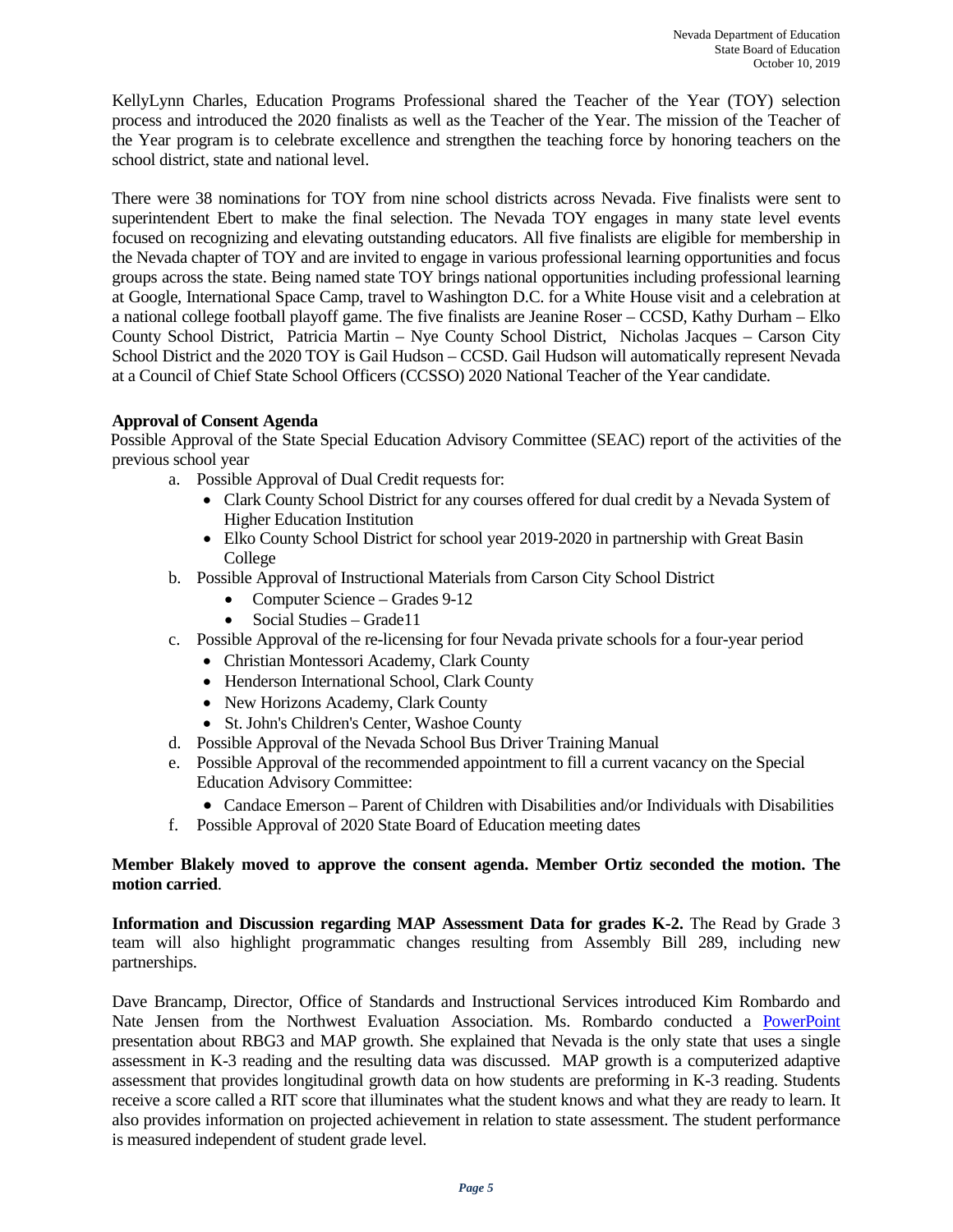KellyLynn Charles, Education Programs Professional shared the Teacher of the Year (TOY) selection process and introduced the 2020 finalists as well as the Teacher of the Year. The mission of the Teacher of the Year program is to celebrate excellence and strengthen the teaching force by honoring teachers on the school district, state and national level.

There were 38 nominations for TOY from nine school districts across Nevada. Five finalists were sent to superintendent Ebert to make the final selection. The Nevada TOY engages in many state level events focused on recognizing and elevating outstanding educators. All five finalists are eligible for membership in the Nevada chapter of TOY and are invited to engage in various professional learning opportunities and focus groups across the state. Being named state TOY brings national opportunities including professional learning at Google, International Space Camp, travel to Washington D.C. for a White House visit and a celebration at a national college football playoff game. The five finalists are Jeanine Roser – CCSD, Kathy Durham – Elko County School District, Patricia Martin – Nye County School District, Nicholas Jacques – Carson City School District and the 2020 TOY is Gail Hudson – CCSD. Gail Hudson will automatically represent Nevada at a Council of Chief State School Officers (CCSSO) 2020 National Teacher of the Year candidate.

# **Approval of Consent Agenda**

Possible Approval of the State Special Education Advisory Committee (SEAC) report of the activities of the previous school year

- a. Possible Approval of Dual Credit requests for:
	- Clark County School District for any courses offered for dual credit by a Nevada System of Higher Education Institution
	- Elko County School District for school year 2019-2020 in partnership with Great Basin College
- b. Possible Approval of Instructional Materials from Carson City School District
	- Computer Science Grades 9-12
	- Social Studies Grade11
- c. Possible Approval of the re-licensing for four Nevada private schools for a four-year period
	- Christian Montessori Academy, Clark County
	- Henderson International School, Clark County
	- New Horizons Academy, Clark County
	- St. John's Children's Center, Washoe County
- d. Possible Approval of the Nevada School Bus Driver Training Manual
- e. Possible Approval of the recommended appointment to fill a current vacancy on the Special Education Advisory Committee:
	- Candace Emerson Parent of Children with Disabilities and/or Individuals with Disabilities
- f. Possible Approval of 2020 State Board of Education meeting dates

### **Member Blakely moved to approve the consent agenda. Member Ortiz seconded the motion. The motion carried**.

**Information and Discussion regarding MAP Assessment Data for grades K-2.** The Read by Grade 3 team will also highlight programmatic changes resulting from Assembly Bill 289, including new partnerships.

Dave Brancamp, Director, Office of Standards and Instructional Services introduced Kim Rombardo and Nate Jensen from the Northwest Evaluation Association. Ms. Rombardo conducted a [PowerPoint](http://www.doe.nv.gov/layouts/master/images/file_icons/pdf.png) presentation about RBG3 and MAP growth. She explained that Nevada is the only state that uses a single assessment in K-3 reading and the resulting data was discussed. MAP growth is a computerized adaptive assessment that provides longitudinal growth data on how students are preforming in K-3 reading. Students receive a score called a RIT score that illuminates what the student knows and what they are ready to learn. It also provides information on projected achievement in relation to state assessment. The student performance is measured independent of student grade level.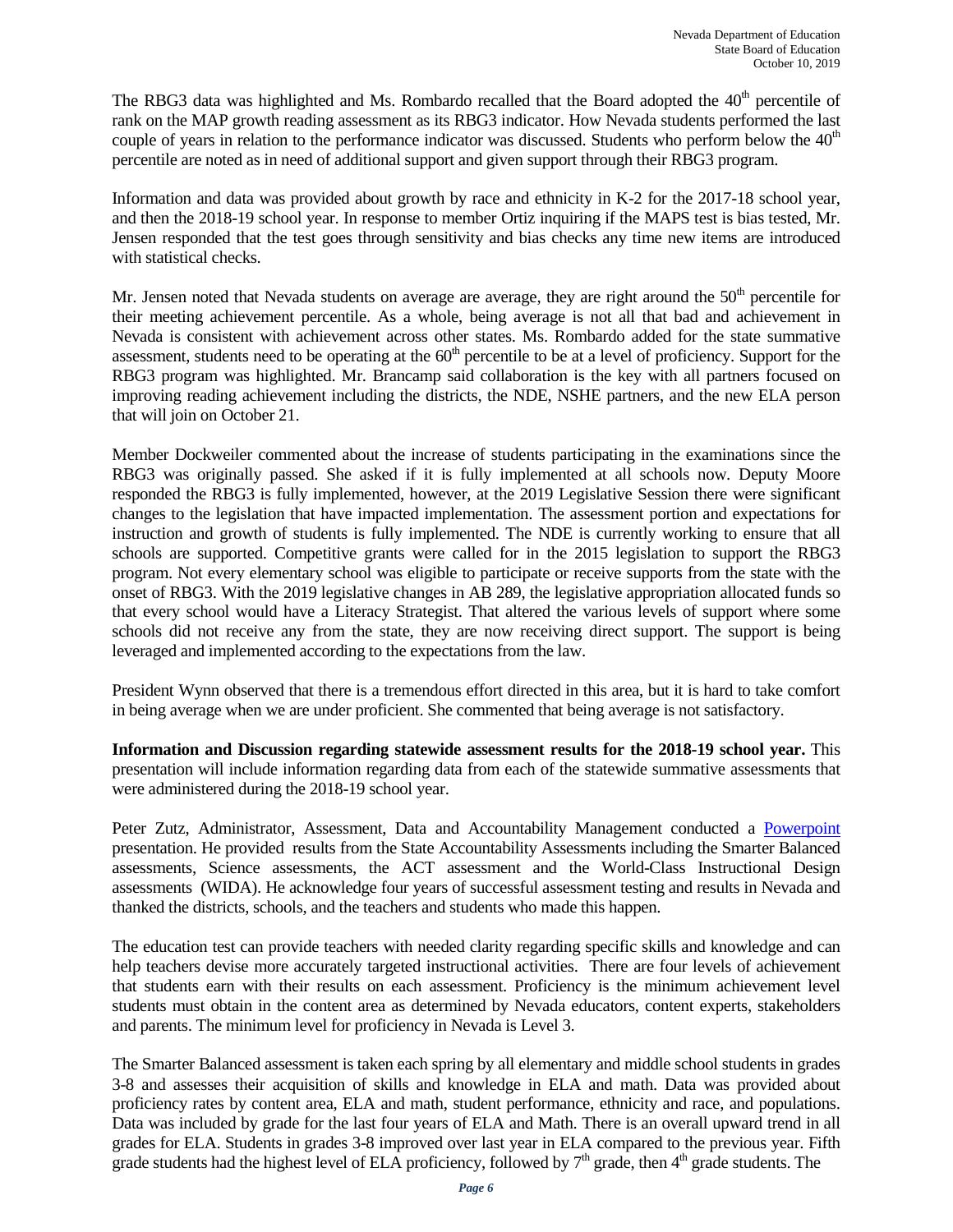The RBG3 data was highlighted and Ms. Rombardo recalled that the Board adopted the  $40<sup>th</sup>$  percentile of rank on the MAP growth reading assessment as its RBG3 indicator. How Nevada students performed the last couple of years in relation to the performance indicator was discussed. Students who perform below the  $40<sup>th</sup>$ percentile are noted as in need of additional support and given support through their RBG3 program.

Information and data was provided about growth by race and ethnicity in K-2 for the 2017-18 school year, and then the 2018-19 school year. In response to member Ortiz inquiring if the MAPS test is bias tested, Mr. Jensen responded that the test goes through sensitivity and bias checks any time new items are introduced with statistical checks.

Mr. Jensen noted that Nevada students on average are average, they are right around the  $50<sup>th</sup>$  percentile for their meeting achievement percentile. As a whole, being average is not all that bad and achievement in Nevada is consistent with achievement across other states. Ms. Rombardo added for the state summative assessment, students need to be operating at the  $60<sup>th</sup>$  percentile to be at a level of proficiency. Support for the RBG3 program was highlighted. Mr. Brancamp said collaboration is the key with all partners focused on improving reading achievement including the districts, the NDE, NSHE partners, and the new ELA person that will join on October 21.

Member Dockweiler commented about the increase of students participating in the examinations since the RBG3 was originally passed. She asked if it is fully implemented at all schools now. Deputy Moore responded the RBG3 is fully implemented, however, at the 2019 Legislative Session there were significant changes to the legislation that have impacted implementation. The assessment portion and expectations for instruction and growth of students is fully implemented. The NDE is currently working to ensure that all schools are supported. Competitive grants were called for in the 2015 legislation to support the RBG3 program. Not every elementary school was eligible to participate or receive supports from the state with the onset of RBG3. With the 2019 legislative changes in AB 289, the legislative appropriation allocated funds so that every school would have a Literacy Strategist. That altered the various levels of support where some schools did not receive any from the state, they are now receiving direct support. The support is being leveraged and implemented according to the expectations from the law.

President Wynn observed that there is a tremendous effort directed in this area, but it is hard to take comfort in being average when we are under proficient. She commented that being average is not satisfactory.

**Information and Discussion regarding statewide assessment results for the 2018-19 school year.** This presentation will include information regarding data from each of the statewide summative assessments that were administered during the 2018-19 school year.

Peter Zutz, Administrator, Assessment, Data and Accountability Management conducted a [Powerpoint](http://www.doe.nv.gov/layouts/master/images/file_icons/pdf.png) presentation. He provided results from the State Accountability Assessments including the Smarter Balanced assessments, Science assessments, the ACT assessment and the World-Class Instructional Design assessments (WIDA). He acknowledge four years of successful assessment testing and results in Nevada and thanked the districts, schools, and the teachers and students who made this happen.

The education test can provide teachers with needed clarity regarding specific skills and knowledge and can help teachers devise more accurately targeted instructional activities. There are four levels of achievement that students earn with their results on each assessment. Proficiency is the minimum achievement level students must obtain in the content area as determined by Nevada educators, content experts, stakeholders and parents. The minimum level for proficiency in Nevada is Level 3.

The Smarter Balanced assessment is taken each spring by all elementary and middle school students in grades 3-8 and assesses their acquisition of skills and knowledge in ELA and math. Data was provided about proficiency rates by content area, ELA and math, student performance, ethnicity and race, and populations. Data was included by grade for the last four years of ELA and Math. There is an overall upward trend in all grades for ELA. Students in grades 3-8 improved over last year in ELA compared to the previous year. Fifth grade students had the highest level of ELA proficiency, followed by 7<sup>th</sup> grade, then 4<sup>th</sup> grade students. The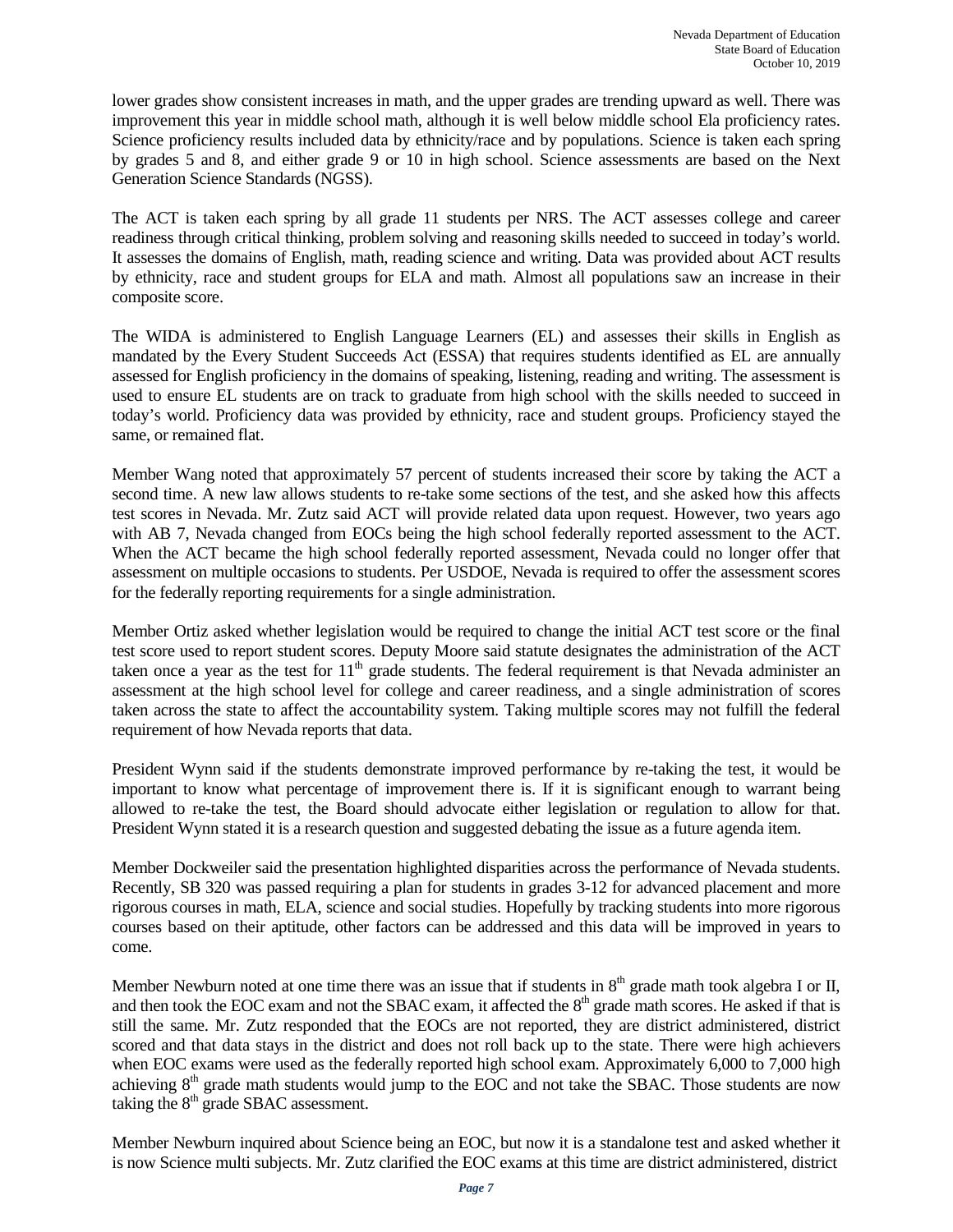lower grades show consistent increases in math, and the upper grades are trending upward as well. There was improvement this year in middle school math, although it is well below middle school Ela proficiency rates. Science proficiency results included data by ethnicity/race and by populations. Science is taken each spring by grades 5 and 8, and either grade 9 or 10 in high school. Science assessments are based on the Next Generation Science Standards (NGSS).

The ACT is taken each spring by all grade 11 students per NRS. The ACT assesses college and career readiness through critical thinking, problem solving and reasoning skills needed to succeed in today's world. It assesses the domains of English, math, reading science and writing. Data was provided about ACT results by ethnicity, race and student groups for ELA and math. Almost all populations saw an increase in their composite score.

The WIDA is administered to English Language Learners (EL) and assesses their skills in English as mandated by the Every Student Succeeds Act (ESSA) that requires students identified as EL are annually assessed for English proficiency in the domains of speaking, listening, reading and writing. The assessment is used to ensure EL students are on track to graduate from high school with the skills needed to succeed in today's world. Proficiency data was provided by ethnicity, race and student groups. Proficiency stayed the same, or remained flat.

Member Wang noted that approximately 57 percent of students increased their score by taking the ACT a second time. A new law allows students to re-take some sections of the test, and she asked how this affects test scores in Nevada. Mr. Zutz said ACT will provide related data upon request. However, two years ago with AB 7, Nevada changed from EOCs being the high school federally reported assessment to the ACT. When the ACT became the high school federally reported assessment, Nevada could no longer offer that assessment on multiple occasions to students. Per USDOE, Nevada is required to offer the assessment scores for the federally reporting requirements for a single administration.

Member Ortiz asked whether legislation would be required to change the initial ACT test score or the final test score used to report student scores. Deputy Moore said statute designates the administration of the ACT taken once a year as the test for  $11<sup>th</sup>$  grade students. The federal requirement is that Nevada administer an assessment at the high school level for college and career readiness, and a single administration of scores taken across the state to affect the accountability system. Taking multiple scores may not fulfill the federal requirement of how Nevada reports that data.

President Wynn said if the students demonstrate improved performance by re-taking the test, it would be important to know what percentage of improvement there is. If it is significant enough to warrant being allowed to re-take the test, the Board should advocate either legislation or regulation to allow for that. President Wynn stated it is a research question and suggested debating the issue as a future agenda item.

Member Dockweiler said the presentation highlighted disparities across the performance of Nevada students. Recently, SB 320 was passed requiring a plan for students in grades 3-12 for advanced placement and more rigorous courses in math, ELA, science and social studies. Hopefully by tracking students into more rigorous courses based on their aptitude, other factors can be addressed and this data will be improved in years to come.

Member Newburn noted at one time there was an issue that if students in  $8<sup>th</sup>$  grade math took algebra I or II, and then took the EOC exam and not the SBAC exam, it affected the 8<sup>th</sup> grade math scores. He asked if that is still the same. Mr. Zutz responded that the EOCs are not reported, they are district administered, district scored and that data stays in the district and does not roll back up to the state. There were high achievers when EOC exams were used as the federally reported high school exam. Approximately 6,000 to 7,000 high achieving 8<sup>th</sup> grade math students would jump to the EOC and not take the SBAC. Those students are now taking the  $8<sup>th</sup>$  grade SBAC assessment.

Member Newburn inquired about Science being an EOC, but now it is a standalone test and asked whether it is now Science multi subjects. Mr. Zutz clarified the EOC exams at this time are district administered, district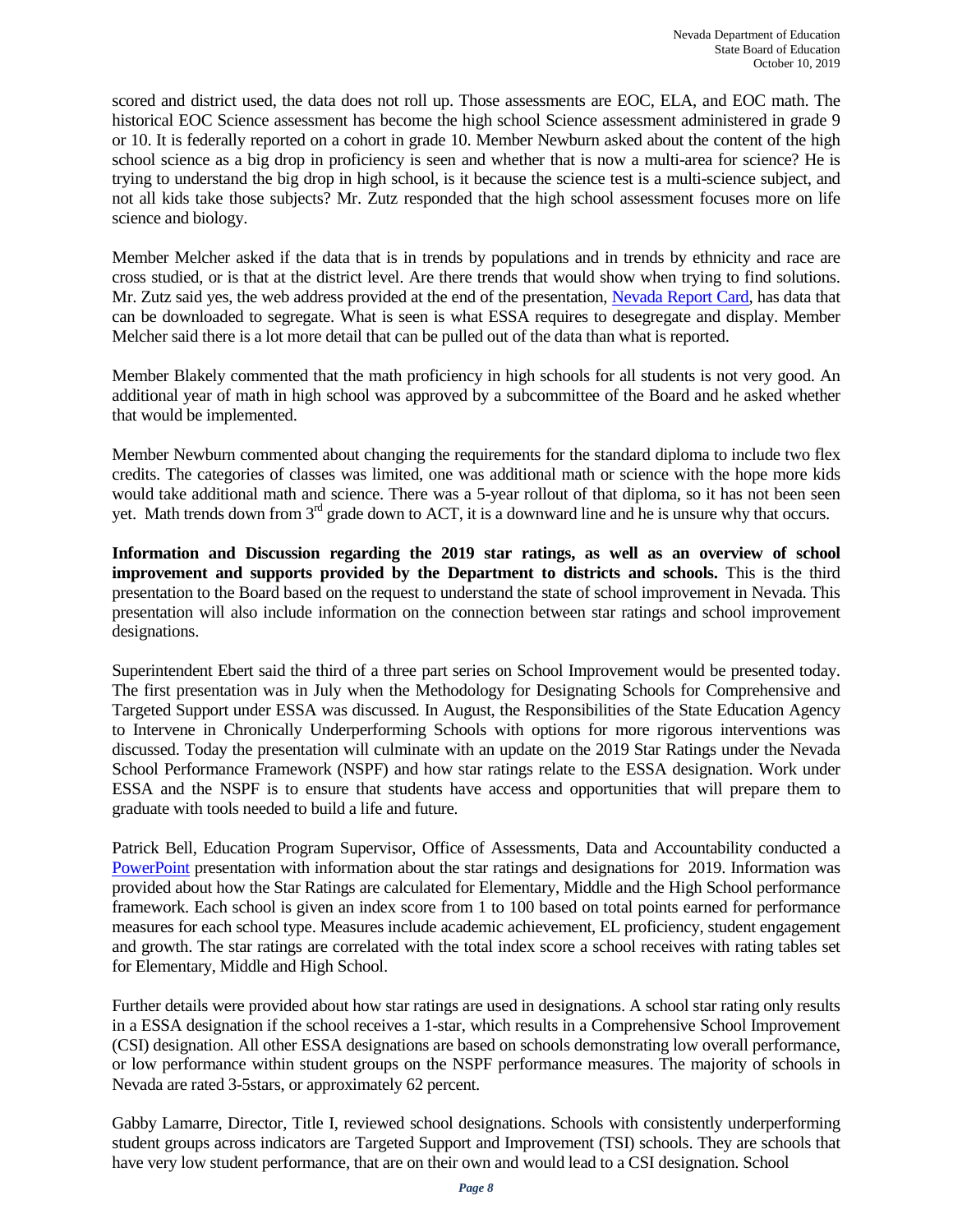scored and district used, the data does not roll up. Those assessments are EOC, ELA, and EOC math. The historical EOC Science assessment has become the high school Science assessment administered in grade 9 or 10. It is federally reported on a cohort in grade 10. Member Newburn asked about the content of the high school science as a big drop in proficiency is seen and whether that is now a multi-area for science? He is trying to understand the big drop in high school, is it because the science test is a multi-science subject, and not all kids take those subjects? Mr. Zutz responded that the high school assessment focuses more on life science and biology.

Member Melcher asked if the data that is in trends by populations and in trends by ethnicity and race are cross studied, or is that at the district level. Are there trends that would show when trying to find solutions. Mr. Zutz said yes, the web address provided at the end of the presentation, Nevada Report Card, has data that can be downloaded to segregate. What is seen is what ESSA requires to desegregate and display. Member Melcher said there is a lot more detail that can be pulled out of the data than what is reported.

Member Blakely commented that the math proficiency in high schools for all students is not very good. An additional year of math in high school was approved by a subcommittee of the Board and he asked whether that would be implemented.

Member Newburn commented about changing the requirements for the standard diploma to include two flex credits. The categories of classes was limited, one was additional math or science with the hope more kids would take additional math and science. There was a 5-year rollout of that diploma, so it has not been seen yet. Math trends down from 3<sup>rd</sup> grade down to ACT, it is a downward line and he is unsure why that occurs.

**Information and Discussion regarding the 2019 star ratings, as well as an overview of school improvement and supports provided by the Department to districts and schools.** This is the third presentation to the Board based on the request to understand the state of school improvement in Nevada. This presentation will also include information on the connection between star ratings and school improvement designations.

Superintendent Ebert said the third of a three part series on School Improvement would be presented today. The first presentation was in July when the Methodology for Designating Schools for Comprehensive and Targeted Support under ESSA was discussed. In August, the Responsibilities of the State Education Agency to Intervene in Chronically Underperforming Schools with options for more rigorous interventions was discussed. Today the presentation will culminate with an update on the 2019 Star Ratings under the Nevada School Performance Framework (NSPF) and how star ratings relate to the ESSA designation. Work under ESSA and the NSPF is to ensure that students have access and opportunities that will prepare them to graduate with tools needed to build a life and future.

Patrick Bell, Education Program Supervisor, Office of Assessments, Data and Accountability conducted a [PowerPoint](http://www.doe.nv.gov/layouts/master/images/file_icons/pdf.png) presentation with information about the star ratings and designations for 2019. Information was provided about how the Star Ratings are calculated for Elementary, Middle and the High School performance framework. Each school is given an index score from 1 to 100 based on total points earned for performance measures for each school type. Measures include academic achievement, EL proficiency, student engagement and growth. The star ratings are correlated with the total index score a school receives with rating tables set for Elementary, Middle and High School.

Further details were provided about how star ratings are used in designations. A school star rating only results in a ESSA designation if the school receives a 1-star, which results in a Comprehensive School Improvement (CSI) designation. All other ESSA designations are based on schools demonstrating low overall performance, or low performance within student groups on the NSPF performance measures. The majority of schools in Nevada are rated 3-5stars, or approximately 62 percent.

Gabby Lamarre, Director, Title I, reviewed school designations. Schools with consistently underperforming student groups across indicators are Targeted Support and Improvement (TSI) schools. They are schools that have very low student performance, that are on their own and would lead to a CSI designation. School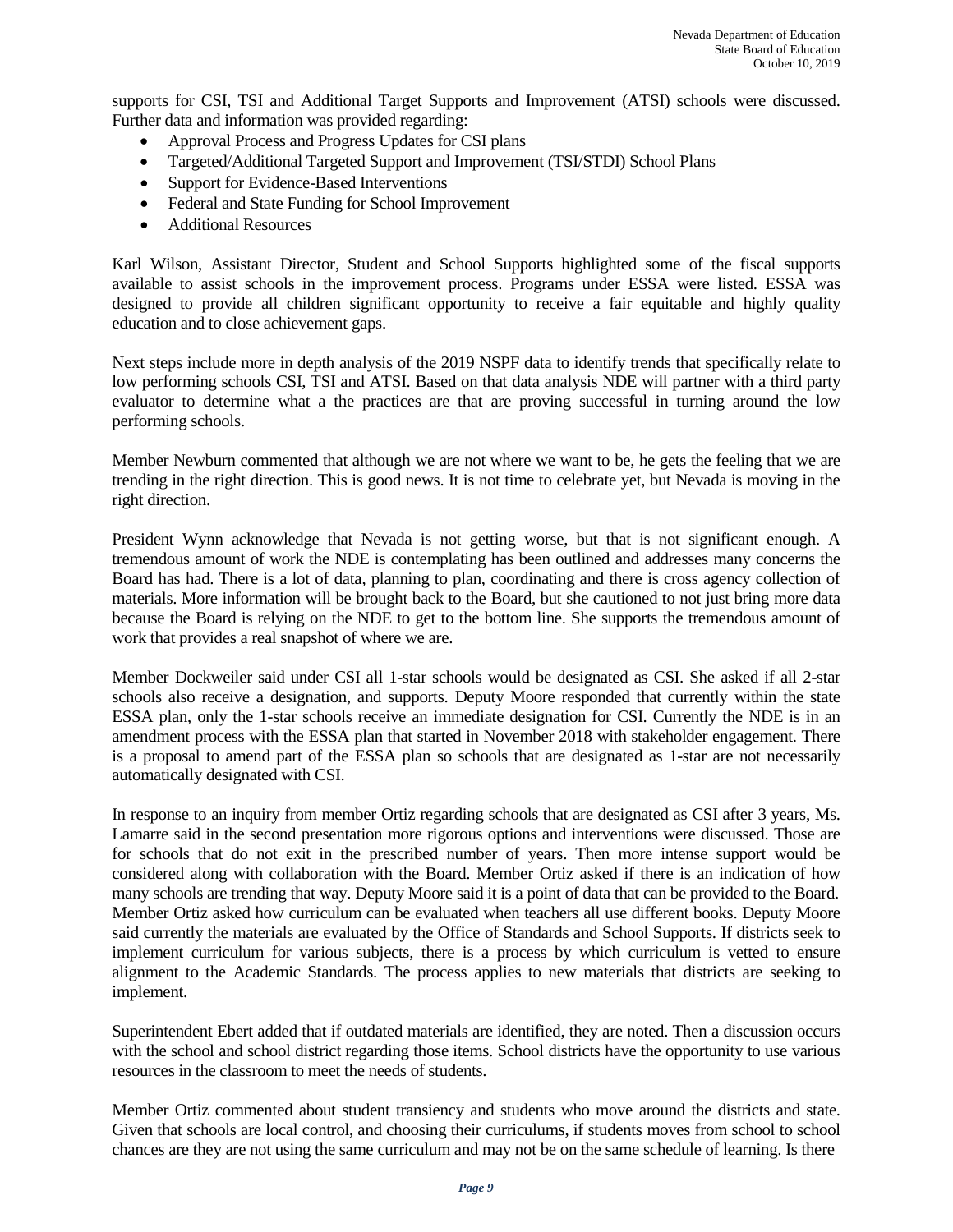supports for CSI, TSI and Additional Target Supports and Improvement (ATSI) schools were discussed. Further data and information was provided regarding:

- Approval Process and Progress Updates for CSI plans
- Targeted/Additional Targeted Support and Improvement (TSI/STDI) School Plans
- Support for Evidence-Based Interventions
- Federal and State Funding for School Improvement
- Additional Resources

Karl Wilson, Assistant Director, Student and School Supports highlighted some of the fiscal supports available to assist schools in the improvement process. Programs under ESSA were listed. ESSA was designed to provide all children significant opportunity to receive a fair equitable and highly quality education and to close achievement gaps.

Next steps include more in depth analysis of the 2019 NSPF data to identify trends that specifically relate to low performing schools CSI, TSI and ATSI. Based on that data analysis NDE will partner with a third party evaluator to determine what a the practices are that are proving successful in turning around the low performing schools.

Member Newburn commented that although we are not where we want to be, he gets the feeling that we are trending in the right direction. This is good news. It is not time to celebrate yet, but Nevada is moving in the right direction.

President Wynn acknowledge that Nevada is not getting worse, but that is not significant enough. A tremendous amount of work the NDE is contemplating has been outlined and addresses many concerns the Board has had. There is a lot of data, planning to plan, coordinating and there is cross agency collection of materials. More information will be brought back to the Board, but she cautioned to not just bring more data because the Board is relying on the NDE to get to the bottom line. She supports the tremendous amount of work that provides a real snapshot of where we are.

Member Dockweiler said under CSI all 1-star schools would be designated as CSI. She asked if all 2-star schools also receive a designation, and supports. Deputy Moore responded that currently within the state ESSA plan, only the 1-star schools receive an immediate designation for CSI. Currently the NDE is in an amendment process with the ESSA plan that started in November 2018 with stakeholder engagement. There is a proposal to amend part of the ESSA plan so schools that are designated as 1-star are not necessarily automatically designated with CSI.

In response to an inquiry from member Ortiz regarding schools that are designated as CSI after 3 years, Ms. Lamarre said in the second presentation more rigorous options and interventions were discussed. Those are for schools that do not exit in the prescribed number of years. Then more intense support would be considered along with collaboration with the Board. Member Ortiz asked if there is an indication of how many schools are trending that way. Deputy Moore said it is a point of data that can be provided to the Board. Member Ortiz asked how curriculum can be evaluated when teachers all use different books. Deputy Moore said currently the materials are evaluated by the Office of Standards and School Supports. If districts seek to implement curriculum for various subjects, there is a process by which curriculum is vetted to ensure alignment to the Academic Standards. The process applies to new materials that districts are seeking to implement.

Superintendent Ebert added that if outdated materials are identified, they are noted. Then a discussion occurs with the school and school district regarding those items. School districts have the opportunity to use various resources in the classroom to meet the needs of students.

Member Ortiz commented about student transiency and students who move around the districts and state. Given that schools are local control, and choosing their curriculums, if students moves from school to school chances are they are not using the same curriculum and may not be on the same schedule of learning. Is there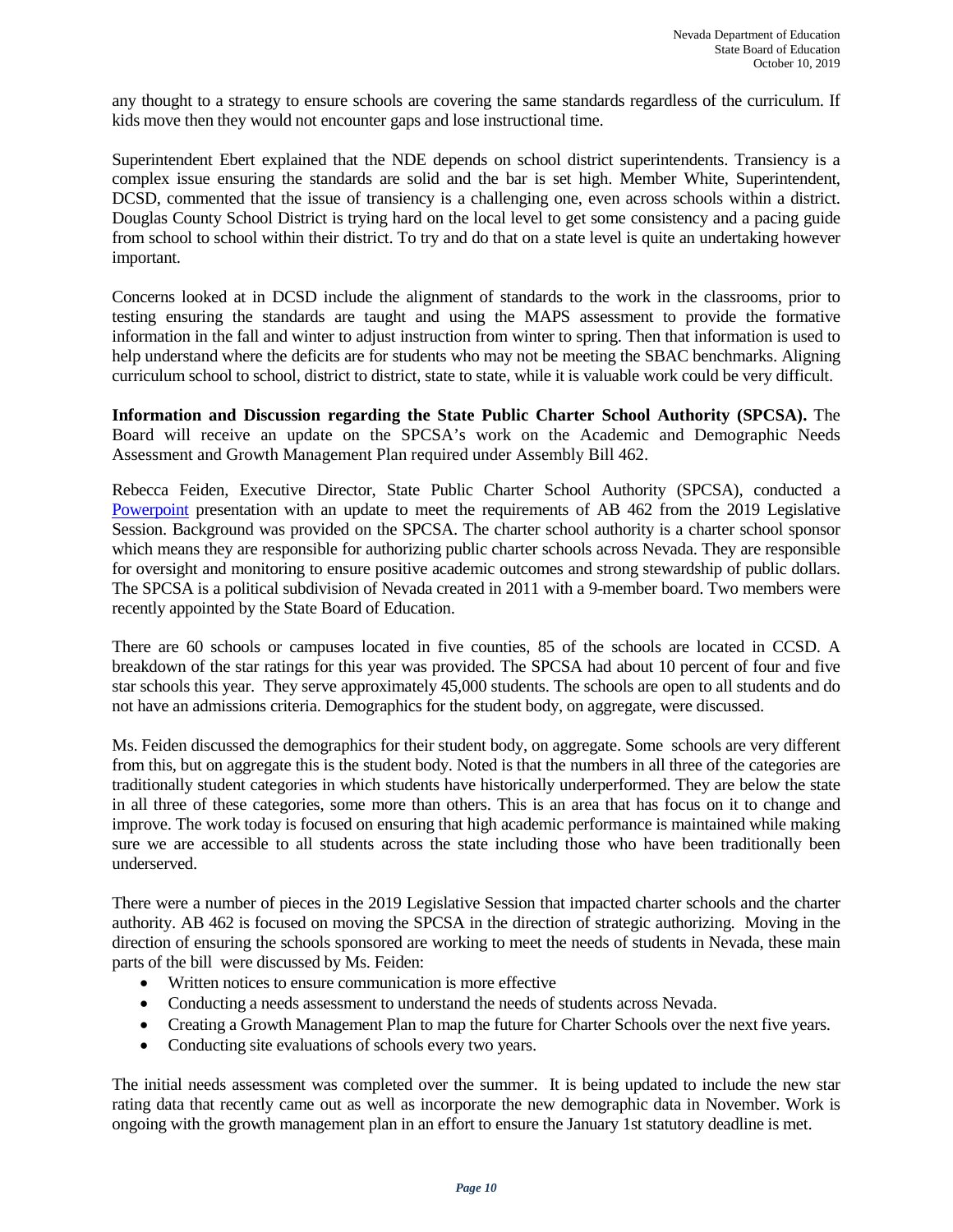any thought to a strategy to ensure schools are covering the same standards regardless of the curriculum. If kids move then they would not encounter gaps and lose instructional time.

Superintendent Ebert explained that the NDE depends on school district superintendents. Transiency is a complex issue ensuring the standards are solid and the bar is set high. Member White, Superintendent, DCSD, commented that the issue of transiency is a challenging one, even across schools within a district. Douglas County School District is trying hard on the local level to get some consistency and a pacing guide from school to school within their district. To try and do that on a state level is quite an undertaking however important.

Concerns looked at in DCSD include the alignment of standards to the work in the classrooms, prior to testing ensuring the standards are taught and using the MAPS assessment to provide the formative information in the fall and winter to adjust instruction from winter to spring. Then that information is used to help understand where the deficits are for students who may not be meeting the SBAC benchmarks. Aligning curriculum school to school, district to district, state to state, while it is valuable work could be very difficult.

**Information and Discussion regarding the State Public Charter School Authority (SPCSA).** The Board will receive an update on the SPCSA's work on the Academic and Demographic Needs Assessment and Growth Management Plan required under Assembly Bill 462.

Rebecca Feiden, Executive Director, State Public Charter School Authority (SPCSA), conducted a [Powerpoint](http://www.doe.nv.gov/layouts/master/images/file_icons/pdf.png) presentation with an update to meet the requirements of AB 462 from the 2019 Legislative Session. Background was provided on the SPCSA. The charter school authority is a charter school sponsor which means they are responsible for authorizing public charter schools across Nevada. They are responsible for oversight and monitoring to ensure positive academic outcomes and strong stewardship of public dollars. The SPCSA is a political subdivision of Nevada created in 2011 with a 9-member board. Two members were recently appointed by the State Board of Education.

There are 60 schools or campuses located in five counties, 85 of the schools are located in CCSD. A breakdown of the star ratings for this year was provided. The SPCSA had about 10 percent of four and five star schools this year. They serve approximately 45,000 students. The schools are open to all students and do not have an admissions criteria. Demographics for the student body, on aggregate, were discussed.

Ms. Feiden discussed the demographics for their student body, on aggregate. Some schools are very different from this, but on aggregate this is the student body. Noted is that the numbers in all three of the categories are traditionally student categories in which students have historically underperformed. They are below the state in all three of these categories, some more than others. This is an area that has focus on it to change and improve. The work today is focused on ensuring that high academic performance is maintained while making sure we are accessible to all students across the state including those who have been traditionally been underserved.

There were a number of pieces in the 2019 Legislative Session that impacted charter schools and the charter authority. AB 462 is focused on moving the SPCSA in the direction of strategic authorizing. Moving in the direction of ensuring the schools sponsored are working to meet the needs of students in Nevada, these main parts of the bill were discussed by Ms. Feiden:

- Written notices to ensure communication is more effective
- Conducting a needs assessment to understand the needs of students across Nevada.
- Creating a Growth Management Plan to map the future for Charter Schools over the next five years.
- Conducting site evaluations of schools every two years.

The initial needs assessment was completed over the summer. It is being updated to include the new star rating data that recently came out as well as incorporate the new demographic data in November. Work is ongoing with the growth management plan in an effort to ensure the January 1st statutory deadline is met.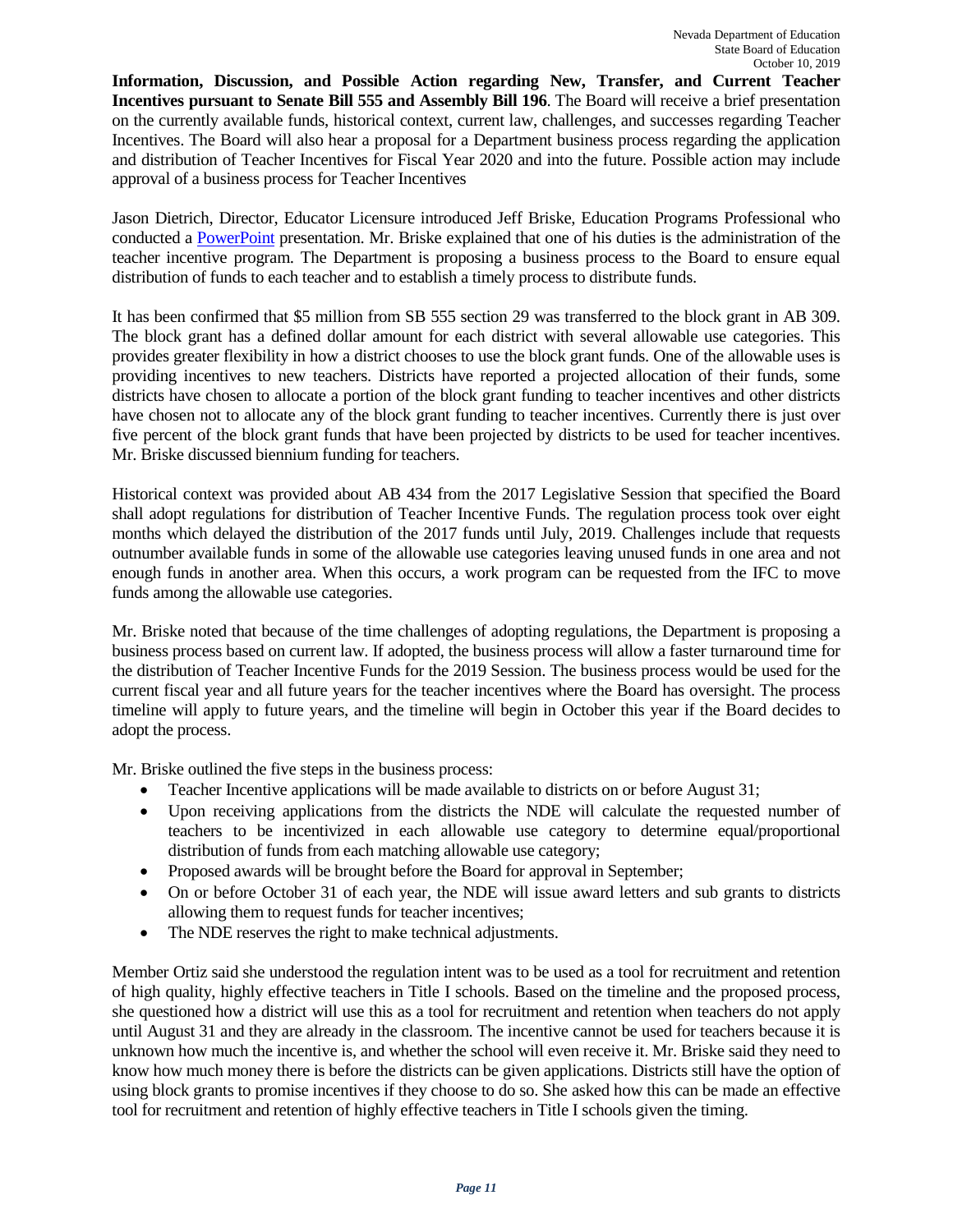**Information, Discussion, and Possible Action regarding New, Transfer, and Current Teacher Incentives pursuant to Senate Bill 555 and Assembly Bill 196**. The Board will receive a brief presentation on the currently available funds, historical context, current law, challenges, and successes regarding Teacher Incentives. The Board will also hear a proposal for a Department business process regarding the application and distribution of Teacher Incentives for Fiscal Year 2020 and into the future. Possible action may include approval of a business process for Teacher Incentives

Jason Dietrich, Director, Educator Licensure introduced Jeff Briske, Education Programs Professional who conducted a [PowerPoint](http://www.doe.nv.gov/layouts/master/images/file_icons/pdf.png) presentation. Mr. Briske explained that one of his duties is the administration of the teacher incentive program. The Department is proposing a business process to the Board to ensure equal distribution of funds to each teacher and to establish a timely process to distribute funds.

It has been confirmed that \$5 million from SB 555 section 29 was transferred to the block grant in AB 309. The block grant has a defined dollar amount for each district with several allowable use categories. This provides greater flexibility in how a district chooses to use the block grant funds. One of the allowable uses is providing incentives to new teachers. Districts have reported a projected allocation of their funds, some districts have chosen to allocate a portion of the block grant funding to teacher incentives and other districts have chosen not to allocate any of the block grant funding to teacher incentives. Currently there is just over five percent of the block grant funds that have been projected by districts to be used for teacher incentives. Mr. Briske discussed biennium funding for teachers.

Historical context was provided about AB 434 from the 2017 Legislative Session that specified the Board shall adopt regulations for distribution of Teacher Incentive Funds. The regulation process took over eight months which delayed the distribution of the 2017 funds until July, 2019. Challenges include that requests outnumber available funds in some of the allowable use categories leaving unused funds in one area and not enough funds in another area. When this occurs, a work program can be requested from the IFC to move funds among the allowable use categories.

Mr. Briske noted that because of the time challenges of adopting regulations, the Department is proposing a business process based on current law. If adopted, the business process will allow a faster turnaround time for the distribution of Teacher Incentive Funds for the 2019 Session. The business process would be used for the current fiscal year and all future years for the teacher incentives where the Board has oversight. The process timeline will apply to future years, and the timeline will begin in October this year if the Board decides to adopt the process.

Mr. Briske outlined the five steps in the business process:

- Teacher Incentive applications will be made available to districts on or before August 31;
- Upon receiving applications from the districts the NDE will calculate the requested number of teachers to be incentivized in each allowable use category to determine equal/proportional distribution of funds from each matching allowable use category;
- Proposed awards will be brought before the Board for approval in September;
- On or before October 31 of each year, the NDE will issue award letters and sub grants to districts allowing them to request funds for teacher incentives;
- The NDE reserves the right to make technical adjustments.

Member Ortiz said she understood the regulation intent was to be used as a tool for recruitment and retention of high quality, highly effective teachers in Title I schools. Based on the timeline and the proposed process, she questioned how a district will use this as a tool for recruitment and retention when teachers do not apply until August 31 and they are already in the classroom. The incentive cannot be used for teachers because it is unknown how much the incentive is, and whether the school will even receive it. Mr. Briske said they need to know how much money there is before the districts can be given applications. Districts still have the option of using block grants to promise incentives if they choose to do so. She asked how this can be made an effective tool for recruitment and retention of highly effective teachers in Title I schools given the timing.